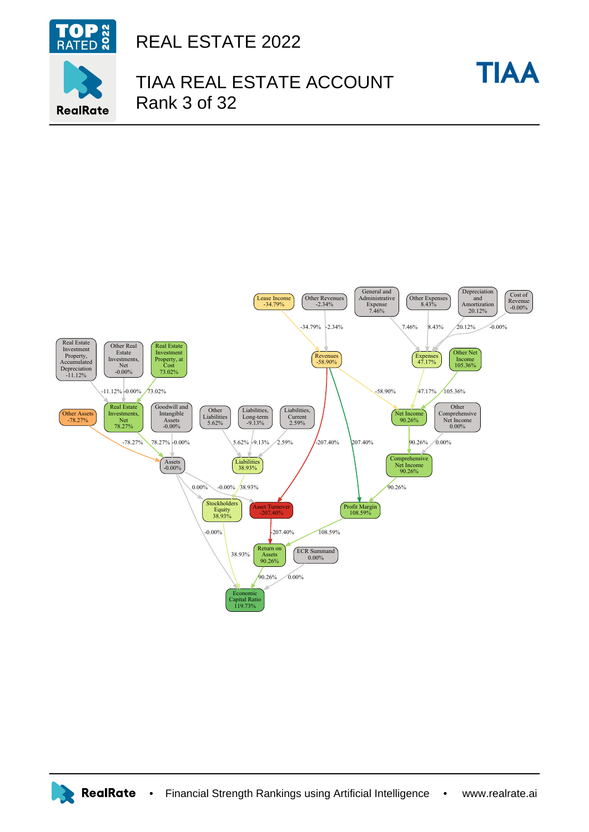

**RealRate** 

REAL ESTATE 2022

## TIAA REAL ESTATE ACCOUNT Rank 3 of 32

**TIAA**